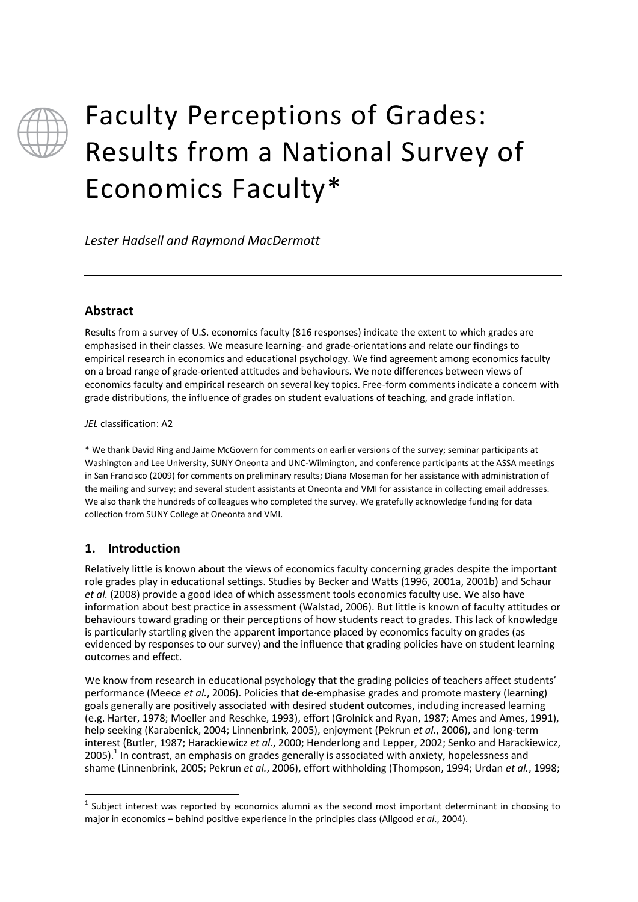

# Faculty Perceptions of Grades: Results from a National Survey of Economics Faculty\*

*Lester Hadsell and Raymond MacDermott*

#### **Abstract**

Results from a survey of U.S. economics faculty (816 responses) indicate the extent to which grades are emphasised in their classes. We measure learning- and grade-orientations and relate our findings to empirical research in economics and educational psychology. We find agreement among economics faculty on a broad range of grade-oriented attitudes and behaviours. We note differences between views of economics faculty and empirical research on several key topics. Free-form comments indicate a concern with grade distributions, the influence of grades on student evaluations of teaching, and grade inflation.

*JEL* classification: A2

\* We thank David Ring and Jaime McGovern for comments on earlier versions of the survey; seminar participants at Washington and Lee University, SUNY Oneonta and UNC-Wilmington, and conference participants at the ASSA meetings in San Francisco (2009) for comments on preliminary results; Diana Moseman for her assistance with administration of the mailing and survey; and several student assistants at Oneonta and VMI for assistance in collecting email addresses. We also thank the hundreds of colleagues who completed the survey. We gratefully acknowledge funding for data collection from SUNY College at Oneonta and VMI.

#### **1. Introduction**

 $\overline{a}$ 

Relatively little is known about the views of economics faculty concerning grades despite the important role grades play in educational settings. Studies by Becker and Watts (1996, 2001a, 2001b) and Schaur *et al.* (2008) provide a good idea of which assessment tools economics faculty use. We also have information about best practice in assessment (Walstad, 2006). But little is known of faculty attitudes or behaviours toward grading or their perceptions of how students react to grades. This lack of knowledge is particularly startling given the apparent importance placed by economics faculty on grades (as evidenced by responses to our survey) and the influence that grading policies have on student learning outcomes and effect.

We know from research in educational psychology that the grading policies of teachers affect students' performance (Meece *et al.*, 2006). Policies that de-emphasise grades and promote mastery (learning) goals generally are positively associated with desired student outcomes, including increased learning (e.g. Harter, 1978; Moeller and Reschke, 1993), effort (Grolnick and Ryan, 1987; Ames and Ames, 1991), help seeking (Karabenick, 2004; Linnenbrink, 2005), enjoyment (Pekrun *et al.*, 2006), and long-term interest (Butler, 1987; Harackiewicz *et al.*, 2000; Henderlong and Lepper, 2002; Senko and Harackiewicz, 2005).<sup>1</sup> In contrast, an emphasis on grades generally is associated with anxiety, hopelessness and shame (Linnenbrink, 2005; Pekrun *et al.*, 2006), effort withholding (Thompson, 1994; Urdan *et al.*, 1998;

 $<sup>1</sup>$  Subject interest was reported by economics alumni as the second most important determinant in choosing to</sup> major in economics – behind positive experience in the principles class (Allgood *et al*., 2004).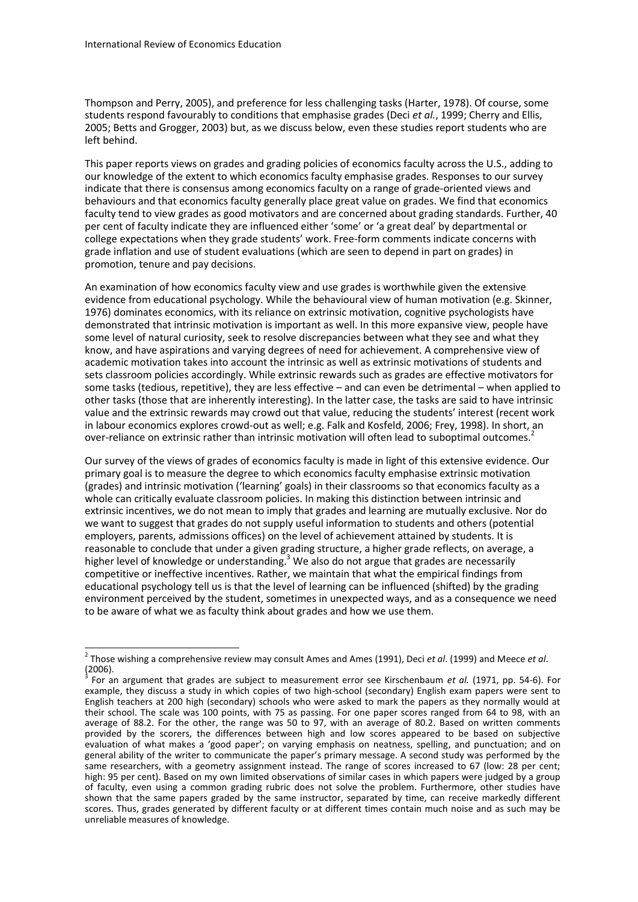Thompson and Perry, 2005), and preference for less challenging tasks (Harter, 1978). Of course, some students respond favourably to conditions that emphasise grades (Deci *et al.*, 1999; Cherry and Ellis, 2005; Betts and Grogger, 2003) but, as we discuss below, even these studies report students who are left behind.

This paper reports views on grades and grading policies of economics faculty across the U.S., adding to our knowledge of the extent to which economics faculty emphasise grades. Responses to our survey indicate that there is consensus among economics faculty on a range of grade-oriented views and behaviours and that economics faculty generally place great value on grades. We find that economics faculty tend to view grades as good motivators and are concerned about grading standards. Further, 40 per cent of faculty indicate they are influenced either 'some' or 'a great deal' by departmental or college expectations when they grade students' work. Free-form comments indicate concerns with grade inflation and use of student evaluations (which are seen to depend in part on grades) in promotion, tenure and pay decisions.

An examination of how economics faculty view and use grades is worthwhile given the extensive evidence from educational psychology. While the behavioural view of human motivation (e.g. Skinner, 1976) dominates economics, with its reliance on extrinsic motivation, cognitive psychologists have demonstrated that intrinsic motivation is important as well. In this more expansive view, people have some level of natural curiosity, seek to resolve discrepancies between what they see and what they know, and have aspirations and varying degrees of need for achievement. A comprehensive view of academic motivation takes into account the intrinsic as well as extrinsic motivations of students and sets classroom policies accordingly. While extrinsic rewards such as grades are effective motivators for some tasks (tedious, repetitive), they are less effective – and can even be detrimental – when applied to other tasks (those that are inherently interesting). In the latter case, the tasks are said to have intrinsic value and the extrinsic rewards may crowd out that value, reducing the students' interest (recent work in labour economics explores crowd-out as well; e.g. Falk and Kosfeld, 2006; Frey, 1998). In short, an over-reliance on extrinsic rather than intrinsic motivation will often lead to suboptimal outcomes.<sup>2</sup>

Our survey of the views of grades of economics faculty is made in light of this extensive evidence. Our primary goal is to measure the degree to which economics faculty emphasise extrinsic motivation (grades) and intrinsic motivation ('learning' goals) in their classrooms so that economics faculty as a whole can critically evaluate classroom policies. In making this distinction between intrinsic and extrinsic incentives, we do not mean to imply that grades and learning are mutually exclusive. Nor do we want to suggest that grades do not supply useful information to students and others (potential employers, parents, admissions offices) on the level of achievement attained by students. It is reasonable to conclude that under a given grading structure, a higher grade reflects, on average, a higher level of knowledge or understanding.<sup>3</sup> We also do not argue that grades are necessarily competitive or ineffective incentives. Rather, we maintain that what the empirical findings from educational psychology tell us is that the level of learning can be influenced (shifted) by the grading environment perceived by the student, sometimes in unexpected ways, and as a consequence we need to be aware of what we as faculty think about grades and how we use them.

 2 Those wishing a comprehensive review may consult Ames and Ames (1991), Deci *et al*. (1999) and Meece *et al*.  $(2006)$ .

For an argument that grades are subject to measurement error see Kirschenbaum *et al.* (1971, pp. 54-6). For example, they discuss a study in which copies of two high-school (secondary) English exam papers were sent to English teachers at 200 high (secondary) schools who were asked to mark the papers as they normally would at their school. The scale was 100 points, with 75 as passing. For one paper scores ranged from 64 to 98, with an average of 88.2. For the other, the range was 50 to 97, with an average of 80.2. Based on written comments provided by the scorers, the differences between high and low scores appeared to be based on subjective evaluation of what makes a 'good paper'; on varying emphasis on neatness, spelling, and punctuation; and on general ability of the writer to communicate the paper's primary message. A second study was performed by the same researchers, with a geometry assignment instead. The range of scores increased to 67 (low: 28 per cent; high: 95 per cent). Based on my own limited observations of similar cases in which papers were judged by a group of faculty, even using a common grading rubric does not solve the problem. Furthermore, other studies have shown that the same papers graded by the same instructor, separated by time, can receive markedly different scores. Thus, grades generated by different faculty or at different times contain much noise and as such may be unreliable measures of knowledge.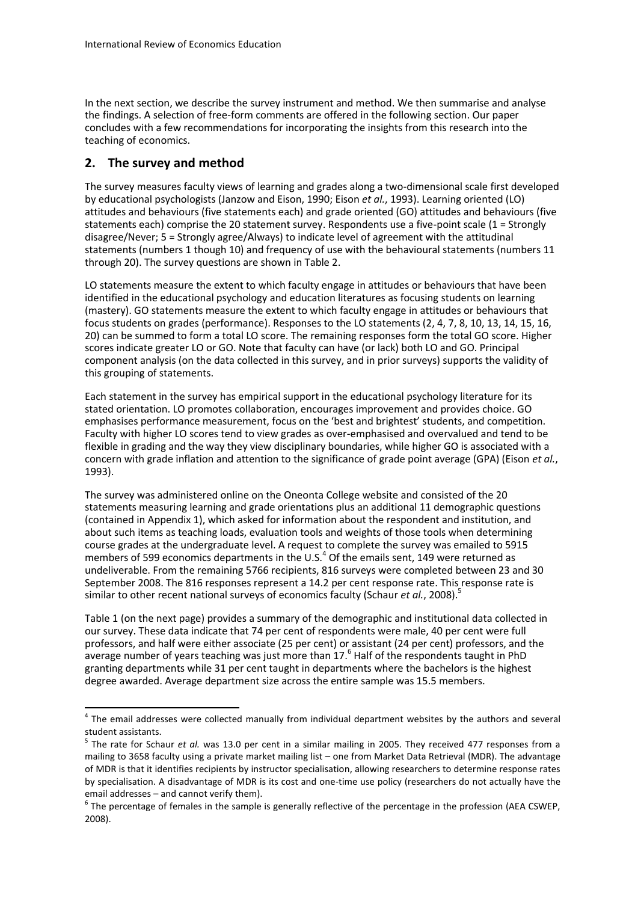In the next section, we describe the survey instrument and method. We then summarise and analyse the findings. A selection of free-form comments are offered in the following section. Our paper concludes with a few recommendations for incorporating the insights from this research into the teaching of economics.

#### **2. The survey and method**

The survey measures faculty views of learning and grades along a two-dimensional scale first developed by educational psychologists (Janzow and Eison, 1990; Eison *et al.*, 1993). Learning oriented (LO) attitudes and behaviours (five statements each) and grade oriented (GO) attitudes and behaviours (five statements each) comprise the 20 statement survey. Respondents use a five-point scale (1 = Strongly disagree/Never; 5 = Strongly agree/Always) to indicate level of agreement with the attitudinal statements (numbers 1 though 10) and frequency of use with the behavioural statements (numbers 11 through 20). The survey questions are shown in Table 2.

LO statements measure the extent to which faculty engage in attitudes or behaviours that have been identified in the educational psychology and education literatures as focusing students on learning (mastery). GO statements measure the extent to which faculty engage in attitudes or behaviours that focus students on grades (performance). Responses to the LO statements (2, 4, 7, 8, 10, 13, 14, 15, 16, 20) can be summed to form a total LO score. The remaining responses form the total GO score. Higher scores indicate greater LO or GO. Note that faculty can have (or lack) both LO and GO. Principal component analysis (on the data collected in this survey, and in prior surveys) supports the validity of this grouping of statements.

Each statement in the survey has empirical support in the educational psychology literature for its stated orientation. LO promotes collaboration, encourages improvement and provides choice. GO emphasises performance measurement, focus on the 'best and brightest' students, and competition. Faculty with higher LO scores tend to view grades as over-emphasised and overvalued and tend to be flexible in grading and the way they view disciplinary boundaries, while higher GO is associated with a concern with grade inflation and attention to the significance of grade point average (GPA) (Eison *et al.*, 1993).

The survey was administered online on the Oneonta College website and consisted of the 20 statements measuring learning and grade orientations plus an additional 11 demographic questions (contained in Appendix 1), which asked for information about the respondent and institution, and about such items as teaching loads, evaluation tools and weights of those tools when determining course grades at the undergraduate level. A request to complete the survey was emailed to 5915 members of 599 economics departments in the U.S.<sup>4</sup> Of the emails sent, 149 were returned as undeliverable. From the remaining 5766 recipients, 816 surveys were completed between 23 and 30 September 2008. The 816 responses represent a 14.2 per cent response rate. This response rate is similar to other recent national surveys of economics faculty (Schaur *et al.*, 2008).<sup>5</sup>

Table 1 (on the next page) provides a summary of the demographic and institutional data collected in our survey. These data indicate that 74 per cent of respondents were male, 40 per cent were full professors, and half were either associate (25 per cent) or assistant (24 per cent) professors, and the average number of years teaching was just more than 17.<sup>6</sup> Half of the respondents taught in PhD granting departments while 31 per cent taught in departments where the bachelors is the highest degree awarded. Average department size across the entire sample was 15.5 members.

 $<sup>4</sup>$  The email addresses were collected manually from individual department websites by the authors and several</sup> student assistants.

<sup>&</sup>lt;sup>5</sup> The rate for Schaur *et al.* was 13.0 per cent in a similar mailing in 2005. They received 477 responses from a mailing to 3658 faculty using a private market mailing list – one from Market Data Retrieval (MDR). The advantage of MDR is that it identifies recipients by instructor specialisation, allowing researchers to determine response rates by specialisation. A disadvantage of MDR is its cost and one-time use policy (researchers do not actually have the email addresses – and cannot verify them).

<sup>&</sup>lt;sup>6</sup> The percentage of females in the sample is generally reflective of the percentage in the profession (AEA CSWEP, 2008).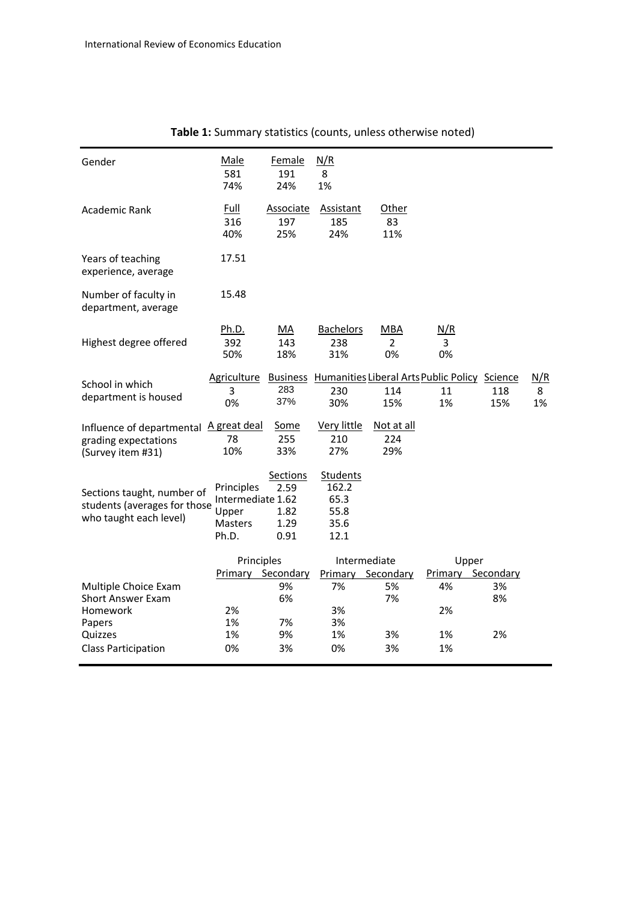| Gender                                      | Male<br>581<br>74% | Female<br>191<br>24%    | N/R<br>8<br>1%          |                                                                    |       |                          |     |
|---------------------------------------------|--------------------|-------------------------|-------------------------|--------------------------------------------------------------------|-------|--------------------------|-----|
| Academic Rank                               | Full<br>316<br>40% | Associate<br>197<br>25% | Assistant<br>185<br>24% | Other<br>83<br>11%                                                 |       |                          |     |
| Years of teaching<br>experience, average    | 17.51              |                         |                         |                                                                    |       |                          |     |
| Number of faculty in<br>department, average | 15.48              |                         |                         |                                                                    |       |                          |     |
|                                             | Ph.D.              | MA                      | <b>Bachelors</b>        | <b>MBA</b>                                                         | N/R   |                          |     |
| Highest degree offered                      | 392                | 143                     | 238                     | $\overline{2}$                                                     | 3     |                          |     |
|                                             | 50%                | 18%                     | 31%                     | 0%                                                                 | 0%    |                          |     |
|                                             |                    |                         |                         | Agriculture Business Humanities Liberal Arts Public Policy Science |       |                          | N/R |
| School in which                             | 3                  | 283                     | 230                     | 114                                                                | 11    | 118                      | 8   |
| department is housed                        | 0%                 | 37%                     | 30%                     | 15%                                                                | 1%    | 15%                      | 1%  |
| Influence of departmental A great deal      |                    | Some                    | <b>Very little</b>      | Not at all                                                         |       |                          |     |
| grading expectations                        | 78                 | 255                     | 210                     | 224                                                                |       |                          |     |
| (Survey item #31)                           | 10%                | 33%                     | 27%                     | 29%                                                                |       |                          |     |
|                                             |                    | <b>Sections</b>         | <b>Students</b>         |                                                                    |       |                          |     |
| Sections taught, number of                  | Principles         | 2.59                    | 162.2                   |                                                                    |       |                          |     |
| students (averages for those                | Intermediate 1.62  |                         | 65.3                    |                                                                    |       |                          |     |
| who taught each level)                      | Upper              | 1.82                    | 55.8                    |                                                                    |       |                          |     |
|                                             | <b>Masters</b>     | 1.29                    | 35.6                    |                                                                    |       |                          |     |
|                                             | Ph.D.              | 0.91                    | 12.1                    |                                                                    |       |                          |     |
|                                             | Principles         |                         |                         | Intermediate                                                       | Upper |                          |     |
|                                             | Primary            | Secondary               | Primary                 | Secondary                                                          |       | <b>Primary Secondary</b> |     |
| Multiple Choice Exam                        |                    | 9%                      | 7%                      | 5%                                                                 | 4%    | 3%                       |     |
| <b>Short Answer Exam</b>                    |                    | 6%                      |                         | 7%                                                                 |       | 8%                       |     |
| Homework                                    | 2%                 |                         | 3%                      |                                                                    | 2%    |                          |     |
| Papers                                      | 1%                 | 7%                      | 3%                      |                                                                    |       |                          |     |
| Quizzes                                     | 1%                 | 9%                      | 1%                      | 3%                                                                 | 1%    | 2%                       |     |
| <b>Class Participation</b>                  | 0%                 | 3%                      | 0%                      | 3%                                                                 | 1%    |                          |     |

# **Table 1:** Summary statistics (counts, unless otherwise noted)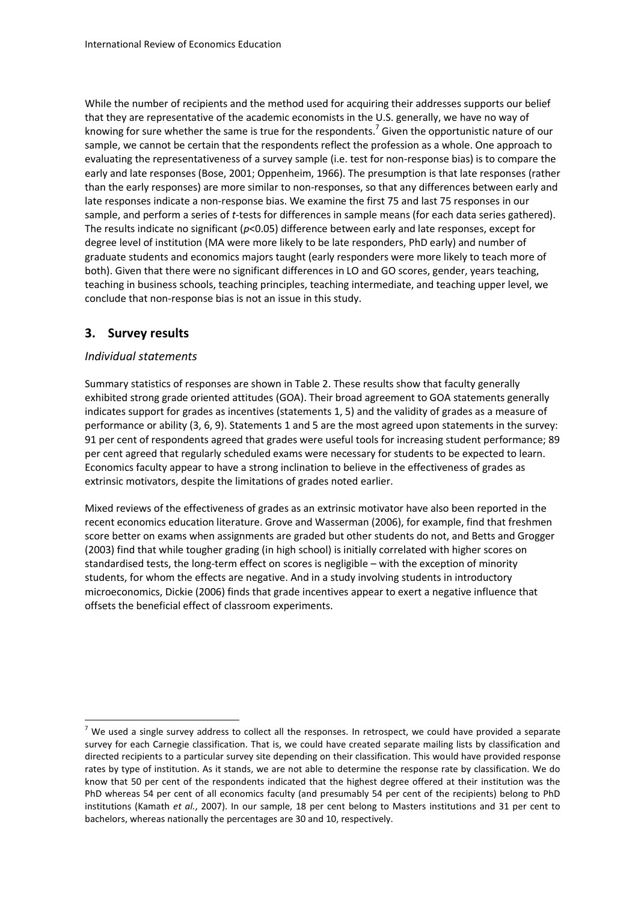While the number of recipients and the method used for acquiring their addresses supports our belief that they are representative of the academic economists in the U.S. generally, we have no way of knowing for sure whether the same is true for the respondents.<sup>7</sup> Given the opportunistic nature of our sample, we cannot be certain that the respondents reflect the profession as a whole. One approach to evaluating the representativeness of a survey sample (i.e. test for non-response bias) is to compare the early and late responses (Bose, 2001; Oppenheim, 1966). The presumption is that late responses (rather than the early responses) are more similar to non-responses, so that any differences between early and late responses indicate a non-response bias. We examine the first 75 and last 75 responses in our sample, and perform a series of *t*-tests for differences in sample means (for each data series gathered). The results indicate no significant (*p*<0.05) difference between early and late responses, except for degree level of institution (MA were more likely to be late responders, PhD early) and number of graduate students and economics majors taught (early responders were more likely to teach more of both). Given that there were no significant differences in LO and GO scores, gender, years teaching, teaching in business schools, teaching principles, teaching intermediate, and teaching upper level, we conclude that non-response bias is not an issue in this study.

#### **3. Survey results**

#### *Individual statements*

Summary statistics of responses are shown in Table 2. These results show that faculty generally exhibited strong grade oriented attitudes (GOA). Their broad agreement to GOA statements generally indicates support for grades as incentives (statements 1, 5) and the validity of grades as a measure of performance or ability (3, 6, 9). Statements 1 and 5 are the most agreed upon statements in the survey: 91 per cent of respondents agreed that grades were useful tools for increasing student performance; 89 per cent agreed that regularly scheduled exams were necessary for students to be expected to learn. Economics faculty appear to have a strong inclination to believe in the effectiveness of grades as extrinsic motivators, despite the limitations of grades noted earlier.

Mixed reviews of the effectiveness of grades as an extrinsic motivator have also been reported in the recent economics education literature. Grove and Wasserman (2006), for example, find that freshmen score better on exams when assignments are graded but other students do not, and Betts and Grogger (2003) find that while tougher grading (in high school) is initially correlated with higher scores on standardised tests, the long-term effect on scores is negligible – with the exception of minority students, for whom the effects are negative. And in a study involving students in introductory microeconomics, Dickie (2006) finds that grade incentives appear to exert a negative influence that offsets the beneficial effect of classroom experiments.

 $<sup>7</sup>$  We used a single survey address to collect all the responses. In retrospect, we could have provided a separate</sup> survey for each Carnegie classification. That is, we could have created separate mailing lists by classification and directed recipients to a particular survey site depending on their classification. This would have provided response rates by type of institution. As it stands, we are not able to determine the response rate by classification. We do know that 50 per cent of the respondents indicated that the highest degree offered at their institution was the PhD whereas 54 per cent of all economics faculty (and presumably 54 per cent of the recipients) belong to PhD institutions (Kamath *et al.*, 2007). In our sample, 18 per cent belong to Masters institutions and 31 per cent to bachelors, whereas nationally the percentages are 30 and 10, respectively.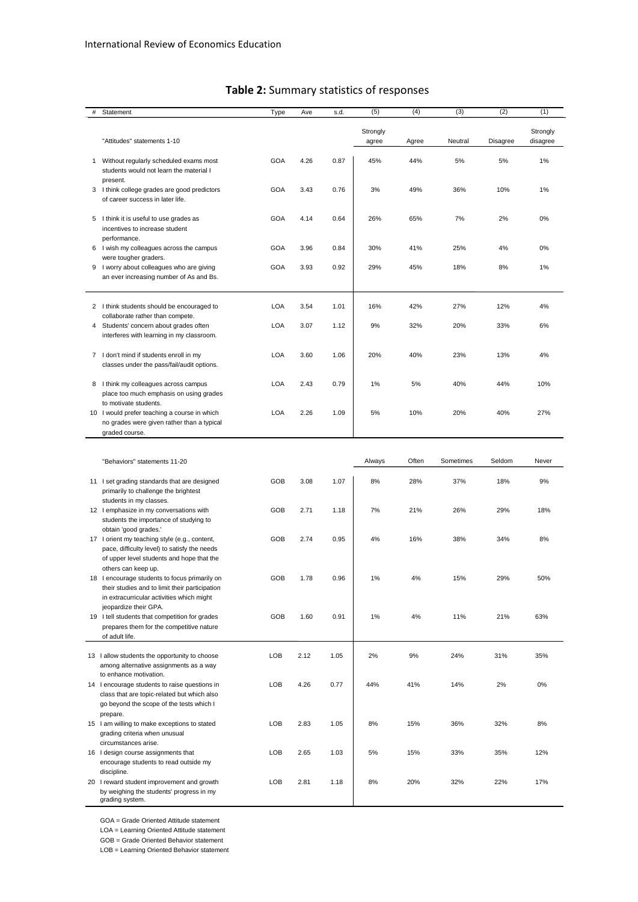| #  | Statement                                                                                                                                                           | Type       | Ave  | s.d. | (5)               | (4)   | (3)       | (2)      | (1)                  |
|----|---------------------------------------------------------------------------------------------------------------------------------------------------------------------|------------|------|------|-------------------|-------|-----------|----------|----------------------|
|    |                                                                                                                                                                     |            |      |      |                   |       |           |          |                      |
|    | "Attitudes" statements 1-10                                                                                                                                         |            |      |      | Strongly<br>agree | Agree | Neutral   | Disagree | Strongly<br>disagree |
| 1. | Without regularly scheduled exams most<br>students would not learn the material I                                                                                   | GOA        | 4.26 | 0.87 | 45%               | 44%   | 5%        | 5%       | 1%                   |
|    | present.<br>3 I think college grades are good predictors<br>of career success in later life.                                                                        | GOA        | 3.43 | 0.76 | 3%                | 49%   | 36%       | 10%      | 1%                   |
|    | 5 I think it is useful to use grades as<br>incentives to increase student                                                                                           | GOA        | 4.14 | 0.64 | 26%               | 65%   | 7%        | 2%       | 0%                   |
|    | performance.<br>6 I wish my colleagues across the campus<br>were tougher graders.                                                                                   | GOA        | 3.96 | 0.84 | 30%               | 41%   | 25%       | 4%       | 0%                   |
|    | 9 I worry about colleagues who are giving<br>an ever increasing number of As and Bs.                                                                                | GOA        | 3.93 | 0.92 | 29%               | 45%   | 18%       | 8%       | 1%                   |
|    | 2 I think students should be encouraged to<br>collaborate rather than compete.                                                                                      | <b>LOA</b> | 3.54 | 1.01 | 16%               | 42%   | 27%       | 12%      | 4%                   |
|    | 4 Students' concern about grades often<br>interferes with learning in my classroom.                                                                                 | <b>LOA</b> | 3.07 | 1.12 | 9%                | 32%   | 20%       | 33%      | 6%                   |
|    | 7 I don't mind if students enroll in my<br>classes under the pass/fail/audit options.                                                                               | <b>LOA</b> | 3.60 | 1.06 | 20%               | 40%   | 23%       | 13%      | 4%                   |
|    | 8 I think my colleagues across campus<br>place too much emphasis on using grades                                                                                    | <b>LOA</b> | 2.43 | 0.79 | 1%                | 5%    | 40%       | 44%      | 10%                  |
|    | to motivate students.<br>10 I would prefer teaching a course in which<br>no grades were given rather than a typical                                                 | <b>LOA</b> | 2.26 | 1.09 | 5%                | 10%   | 20%       | 40%      | 27%                  |
|    | graded course.                                                                                                                                                      |            |      |      |                   |       |           |          |                      |
|    |                                                                                                                                                                     |            |      |      |                   |       |           |          |                      |
|    | "Behaviors" statements 11-20                                                                                                                                        |            |      |      | Always            | Often | Sometimes | Seldom   | Never                |
|    | 11 I set grading standards that are designed<br>primarily to challenge the brightest<br>students in my classes.                                                     | GOB        | 3.08 | 1.07 | 8%                | 28%   | 37%       | 18%      | 9%                   |
|    | 12 I emphasize in my conversations with<br>students the importance of studying to<br>obtain 'good grades.'                                                          | GOB        | 2.71 | 1.18 | 7%                | 21%   | 26%       | 29%      | 18%                  |
|    | 17 I orient my teaching style (e.g., content,<br>pace, difficulty level) to satisfy the needs<br>of upper level students and hope that the                          | GOB        | 2.74 | 0.95 | 4%                | 16%   | 38%       | 34%      | 8%                   |
|    | others can keep up.<br>18 I encourage students to focus primarily on<br>their studies and to limit their participation<br>in extracurricular activities which might | GOB        | 1.78 | 0.96 | 1%                | 4%    | 15%       | 29%      | 50%                  |
|    | jeopardize their GPA.<br>19 I tell students that competition for grades<br>prepares them for the competitive nature<br>of adult life.                               | GOB        | 1.60 | 0.91 | 1%                | 4%    | 11%       | 21%      | 63%                  |
|    | 13 I allow students the opportunity to choose                                                                                                                       | LOB        | 2.12 | 1.05 | 2%                | 9%    | 24%       | 31%      | 35%                  |
|    | among alternative assignments as a way<br>to enhance motivation.                                                                                                    |            |      |      |                   |       |           |          |                      |
|    | 14 I encourage students to raise questions in<br>class that are topic-related but which also<br>go beyond the scope of the tests which I                            | LOB        | 4.26 | 0.77 | 44%               | 41%   | 14%       | 2%       | 0%                   |
|    | prepare.<br>15 I am willing to make exceptions to stated<br>grading criteria when unusual                                                                           | LOB        | 2.83 | 1.05 | 8%                | 15%   | 36%       | 32%      | 8%                   |
|    | circumstances arise.<br>16 I design course assignments that<br>encourage students to read outside my                                                                | LOB        | 2.65 | 1.03 | 5%                | 15%   | 33%       | 35%      | 12%                  |
|    | discipline.<br>20 I reward student improvement and growth<br>by weighing the students' progress in my<br>grading system.                                            | LOB        | 2.81 | 1.18 | 8%                | 20%   | 32%       | 22%      | 17%                  |

## **Table 2:** Summary statistics of responses

GOA = Grade Oriented Attitude statement

LOA = Learning Oriented Attitude statement

GOB = Grade Oriented Behavior statement

LOB = Learning Oriented Behavior statement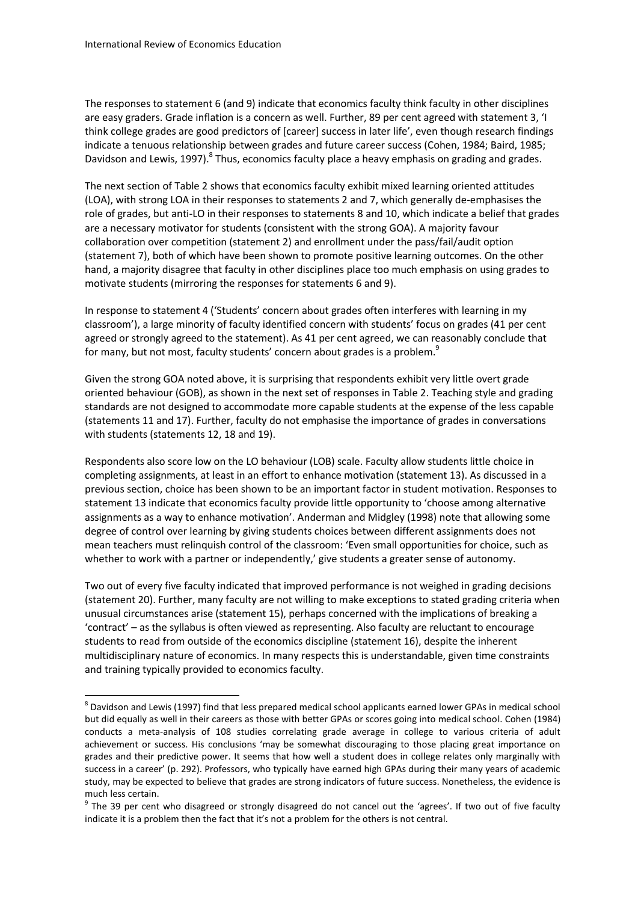The responses to statement 6 (and 9) indicate that economics faculty think faculty in other disciplines are easy graders. Grade inflation is a concern as well. Further, 89 per cent agreed with statement 3, 'I think college grades are good predictors of [career] success in later life', even though research findings indicate a tenuous relationship between grades and future career success (Cohen, 1984; Baird, 1985; Davidson and Lewis, 1997). <sup>8</sup> Thus, economics faculty place a heavy emphasis on grading and grades.

The next section of Table 2 shows that economics faculty exhibit mixed learning oriented attitudes (LOA), with strong LOA in their responses to statements 2 and 7, which generally de-emphasises the role of grades, but anti-LO in their responses to statements 8 and 10, which indicate a belief that grades are a necessary motivator for students (consistent with the strong GOA). A majority favour collaboration over competition (statement 2) and enrollment under the pass/fail/audit option (statement 7), both of which have been shown to promote positive learning outcomes. On the other hand, a majority disagree that faculty in other disciplines place too much emphasis on using grades to motivate students (mirroring the responses for statements 6 and 9).

In response to statement 4 ('Students' concern about grades often interferes with learning in my classroom'), a large minority of faculty identified concern with students' focus on grades (41 per cent agreed or strongly agreed to the statement). As 41 per cent agreed, we can reasonably conclude that for many, but not most, faculty students' concern about grades is a problem.<sup>9</sup>

Given the strong GOA noted above, it is surprising that respondents exhibit very little overt grade oriented behaviour (GOB), as shown in the next set of responses in Table 2. Teaching style and grading standards are not designed to accommodate more capable students at the expense of the less capable (statements 11 and 17). Further, faculty do not emphasise the importance of grades in conversations with students (statements 12, 18 and 19).

Respondents also score low on the LO behaviour (LOB) scale. Faculty allow students little choice in completing assignments, at least in an effort to enhance motivation (statement 13). As discussed in a previous section, choice has been shown to be an important factor in student motivation. Responses to statement 13 indicate that economics faculty provide little opportunity to 'choose among alternative assignments as a way to enhance motivation'. Anderman and Midgley (1998) note that allowing some degree of control over learning by giving students choices between different assignments does not mean teachers must relinquish control of the classroom: 'Even small opportunities for choice, such as whether to work with a partner or independently,' give students a greater sense of autonomy.

Two out of every five faculty indicated that improved performance is not weighed in grading decisions (statement 20). Further, many faculty are not willing to make exceptions to stated grading criteria when unusual circumstances arise (statement 15), perhaps concerned with the implications of breaking a 'contract' – as the syllabus is often viewed as representing. Also faculty are reluctant to encourage students to read from outside of the economics discipline (statement 16), despite the inherent multidisciplinary nature of economics. In many respects this is understandable, given time constraints and training typically provided to economics faculty.

 $^8$  Davidson and Lewis (1997) find that less prepared medical school applicants earned lower GPAs in medical school but did equally as well in their careers as those with better GPAs or scores going into medical school. Cohen (1984) conducts a meta-analysis of 108 studies correlating grade average in college to various criteria of adult achievement or success. His conclusions 'may be somewhat discouraging to those placing great importance on grades and their predictive power. It seems that how well a student does in college relates only marginally with success in a career' (p. 292). Professors, who typically have earned high GPAs during their many years of academic study, may be expected to believe that grades are strong indicators of future success. Nonetheless, the evidence is much less certain.

 $9$  The 39 per cent who disagreed or strongly disagreed do not cancel out the 'agrees'. If two out of five faculty indicate it is a problem then the fact that it's not a problem for the others is not central.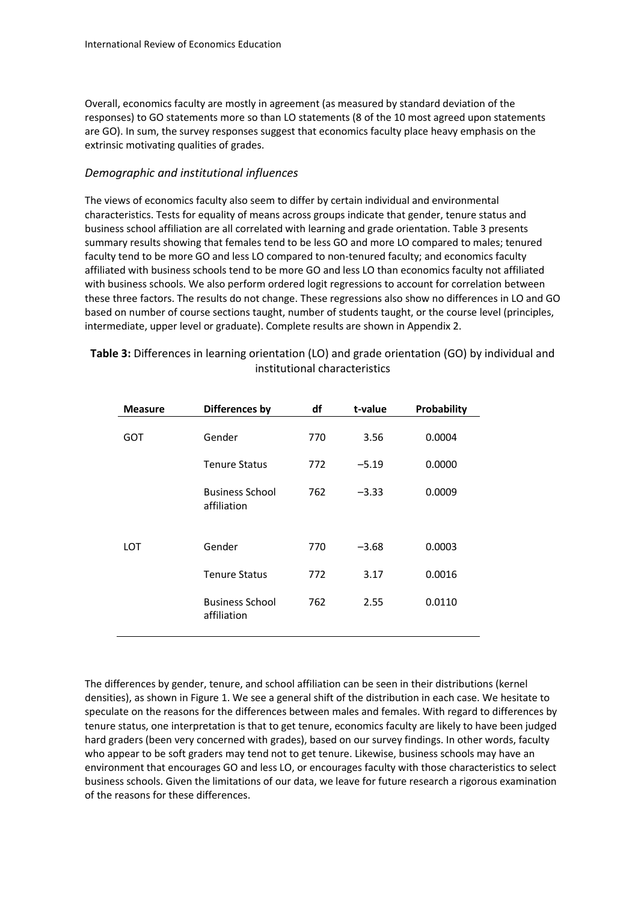Overall, economics faculty are mostly in agreement (as measured by standard deviation of the responses) to GO statements more so than LO statements (8 of the 10 most agreed upon statements are GO). In sum, the survey responses suggest that economics faculty place heavy emphasis on the extrinsic motivating qualities of grades.

#### *Demographic and institutional influences*

The views of economics faculty also seem to differ by certain individual and environmental characteristics. Tests for equality of means across groups indicate that gender, tenure status and business school affiliation are all correlated with learning and grade orientation. Table 3 presents summary results showing that females tend to be less GO and more LO compared to males; tenured faculty tend to be more GO and less LO compared to non-tenured faculty; and economics faculty affiliated with business schools tend to be more GO and less LO than economics faculty not affiliated with business schools. We also perform ordered logit regressions to account for correlation between these three factors. The results do not change. These regressions also show no differences in LO and GO based on number of course sections taught, number of students taught, or the course level (principles, intermediate, upper level or graduate). Complete results are shown in Appendix 2.

| <b>Table 3:</b> Differences in learning orientation (LO) and grade orientation (GO) by individual and |
|-------------------------------------------------------------------------------------------------------|
| institutional characteristics                                                                         |
|                                                                                                       |

| <b>Measure</b> | Differences by                        | df  | t-value | <b>Probability</b> |
|----------------|---------------------------------------|-----|---------|--------------------|
| GOT            | Gender                                | 770 | 3.56    | 0.0004             |
|                | <b>Tenure Status</b>                  | 772 | $-5.19$ | 0.0000             |
|                | <b>Business School</b><br>affiliation | 762 | $-3.33$ | 0.0009             |
| LOT            | Gender                                | 770 | $-3.68$ | 0.0003             |
|                | <b>Tenure Status</b>                  | 772 | 3.17    | 0.0016             |
|                | <b>Business School</b><br>affiliation | 762 | 2.55    | 0.0110             |

The differences by gender, tenure, and school affiliation can be seen in their distributions (kernel densities), as shown in Figure 1. We see a general shift of the distribution in each case. We hesitate to speculate on the reasons for the differences between males and females. With regard to differences by tenure status, one interpretation is that to get tenure, economics faculty are likely to have been judged hard graders (been very concerned with grades), based on our survey findings. In other words, faculty who appear to be soft graders may tend not to get tenure. Likewise, business schools may have an environment that encourages GO and less LO, or encourages faculty with those characteristics to select business schools. Given the limitations of our data, we leave for future research a rigorous examination of the reasons for these differences.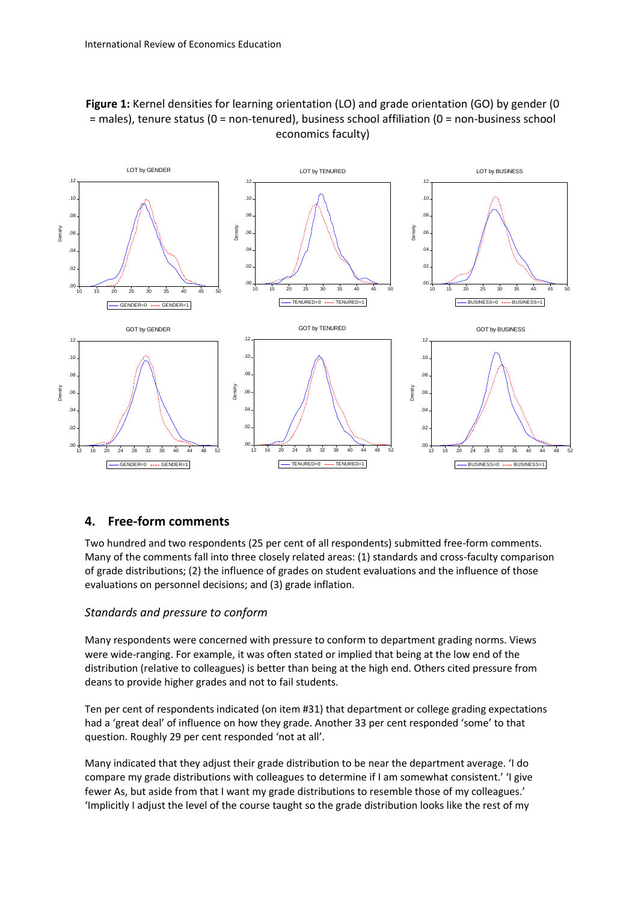



#### **4. Free-form comments**

Two hundred and two respondents (25 per cent of all respondents) submitted free-form comments. Many of the comments fall into three closely related areas: (1) standards and cross-faculty comparison of grade distributions; (2) the influence of grades on student evaluations and the influence of those evaluations on personnel decisions; and (3) grade inflation.

#### *Standards and pressure to conform*

Many respondents were concerned with pressure to conform to department grading norms. Views were wide-ranging. For example, it was often stated or implied that being at the low end of the distribution (relative to colleagues) is better than being at the high end. Others cited pressure from deans to provide higher grades and not to fail students.

Ten per cent of respondents indicated (on item #31) that department or college grading expectations had a 'great deal' of influence on how they grade. Another 33 per cent responded 'some' to that question. Roughly 29 per cent responded 'not at all'.

Many indicated that they adjust their grade distribution to be near the department average. 'I do compare my grade distributions with colleagues to determine if I am somewhat consistent.' 'I give fewer As, but aside from that I want my grade distributions to resemble those of my colleagues.' 'Implicitly I adjust the level of the course taught so the grade distribution looks like the rest of my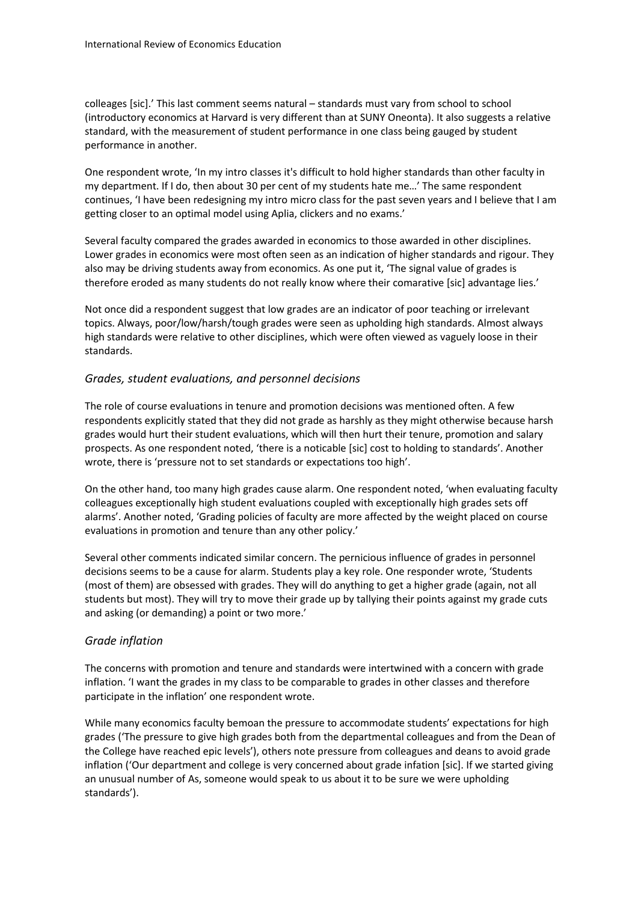colleages [sic].' This last comment seems natural – standards must vary from school to school (introductory economics at Harvard is very different than at SUNY Oneonta). It also suggests a relative standard, with the measurement of student performance in one class being gauged by student performance in another.

One respondent wrote, 'In my intro classes it's difficult to hold higher standards than other faculty in my department. If I do, then about 30 per cent of my students hate me…' The same respondent continues, 'I have been redesigning my intro micro class for the past seven years and I believe that I am getting closer to an optimal model using Aplia, clickers and no exams.'

Several faculty compared the grades awarded in economics to those awarded in other disciplines. Lower grades in economics were most often seen as an indication of higher standards and rigour. They also may be driving students away from economics. As one put it, 'The signal value of grades is therefore eroded as many students do not really know where their comarative [sic] advantage lies.'

Not once did a respondent suggest that low grades are an indicator of poor teaching or irrelevant topics. Always, poor/low/harsh/tough grades were seen as upholding high standards. Almost always high standards were relative to other disciplines, which were often viewed as vaguely loose in their standards.

#### *Grades, student evaluations, and personnel decisions*

The role of course evaluations in tenure and promotion decisions was mentioned often. A few respondents explicitly stated that they did not grade as harshly as they might otherwise because harsh grades would hurt their student evaluations, which will then hurt their tenure, promotion and salary prospects. As one respondent noted, 'there is a noticable [sic] cost to holding to standards'. Another wrote, there is 'pressure not to set standards or expectations too high'.

On the other hand, too many high grades cause alarm. One respondent noted, 'when evaluating faculty colleagues exceptionally high student evaluations coupled with exceptionally high grades sets off alarms'. Another noted, 'Grading policies of faculty are more affected by the weight placed on course evaluations in promotion and tenure than any other policy.'

Several other comments indicated similar concern. The pernicious influence of grades in personnel decisions seems to be a cause for alarm. Students play a key role. One responder wrote, 'Students (most of them) are obsessed with grades. They will do anything to get a higher grade (again, not all students but most). They will try to move their grade up by tallying their points against my grade cuts and asking (or demanding) a point or two more.'

#### *Grade inflation*

The concerns with promotion and tenure and standards were intertwined with a concern with grade inflation. 'I want the grades in my class to be comparable to grades in other classes and therefore participate in the inflation' one respondent wrote.

While many economics faculty bemoan the pressure to accommodate students' expectations for high grades ('The pressure to give high grades both from the departmental colleagues and from the Dean of the College have reached epic levels'), others note pressure from colleagues and deans to avoid grade inflation ('Our department and college is very concerned about grade infation [sic]. If we started giving an unusual number of As, someone would speak to us about it to be sure we were upholding standards').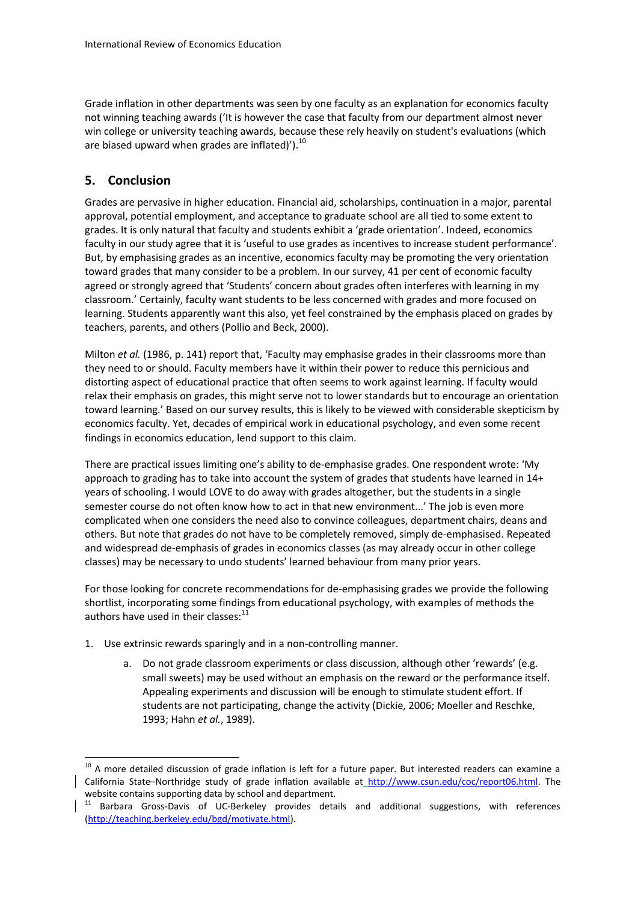Grade inflation in other departments was seen by one faculty as an explanation for economics faculty not winning teaching awards ('It is however the case that faculty from our department almost never win college or university teaching awards, because these rely heavily on student's evaluations (which are biased upward when grades are inflated)'). $^{10}$ 

#### **5. Conclusion**

 $\overline{a}$ 

Grades are pervasive in higher education. Financial aid, scholarships, continuation in a major, parental approval, potential employment, and acceptance to graduate school are all tied to some extent to grades. It is only natural that faculty and students exhibit a 'grade orientation'. Indeed, economics faculty in our study agree that it is 'useful to use grades as incentives to increase student performance'. But, by emphasising grades as an incentive, economics faculty may be promoting the very orientation toward grades that many consider to be a problem. In our survey, 41 per cent of economic faculty agreed or strongly agreed that 'Students' concern about grades often interferes with learning in my classroom.' Certainly, faculty want students to be less concerned with grades and more focused on learning. Students apparently want this also, yet feel constrained by the emphasis placed on grades by teachers, parents, and others (Pollio and Beck, 2000).

Milton *et al.* (1986, p. 141) report that, 'Faculty may emphasise grades in their classrooms more than they need to or should. Faculty members have it within their power to reduce this pernicious and distorting aspect of educational practice that often seems to work against learning. If faculty would relax their emphasis on grades, this might serve not to lower standards but to encourage an orientation toward learning.' Based on our survey results, this is likely to be viewed with considerable skepticism by economics faculty. Yet, decades of empirical work in educational psychology, and even some recent findings in economics education, lend support to this claim.

There are practical issues limiting one's ability to de-emphasise grades. One respondent wrote: 'My approach to grading has to take into account the system of grades that students have learned in 14+ years of schooling. I would LOVE to do away with grades altogether, but the students in a single semester course do not often know how to act in that new environment...' The job is even more complicated when one considers the need also to convince colleagues, department chairs, deans and others. But note that grades do not have to be completely removed, simply de-emphasised. Repeated and widespread de-emphasis of grades in economics classes (as may already occur in other college classes) may be necessary to undo students' learned behaviour from many prior years.

For those looking for concrete recommendations for de-emphasising grades we provide the following shortlist, incorporating some findings from educational psychology, with examples of methods the authors have used in their classes: $^{11}$ 

- 1. Use extrinsic rewards sparingly and in a non-controlling manner.
	- a. Do not grade classroom experiments or class discussion, although other 'rewards' (e.g. small sweets) may be used without an emphasis on the reward or the performance itself. Appealing experiments and discussion will be enough to stimulate student effort. If students are not participating, change the activity (Dickie, 2006; Moeller and Reschke, 1993; Hahn *et al.*, 1989).

 $10$  A more detailed discussion of grade inflation is left for a future paper. But interested readers can examine a California State-Northridge study of grade inflation available at [http://www.csun.edu/coc/report06.html.](http://www.csun.edu/coc/report06.html) The website contains supporting data by school and department.

<sup>&</sup>lt;sup>11</sup> Barbara Gross-Davis of UC-Berkeley provides details and additional suggestions, with references [\(http://teaching.berkeley.edu/bgd/motivate.html\)](http://teaching.berkeley.edu/bgd/motivate.html).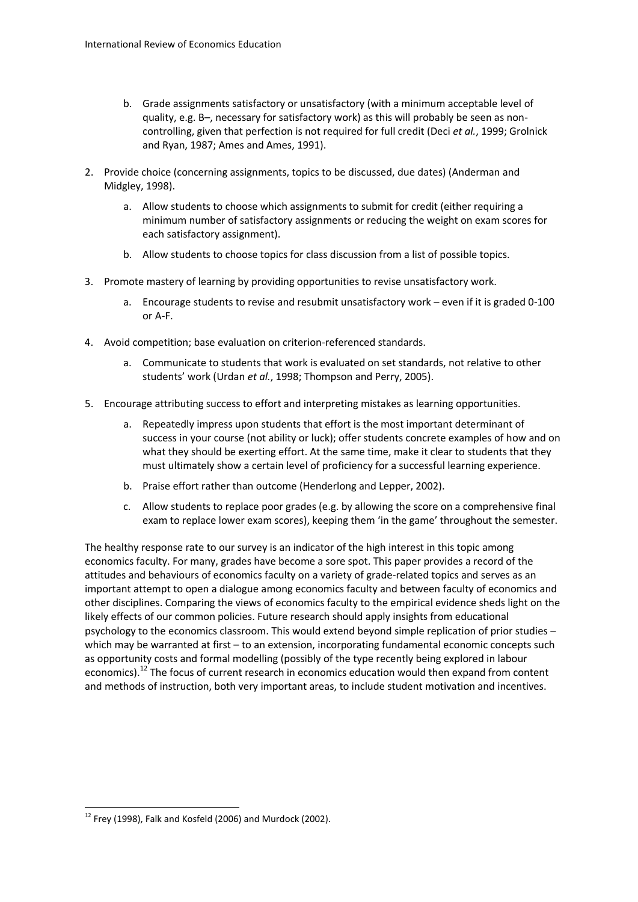- b. Grade assignments satisfactory or unsatisfactory (with a minimum acceptable level of quality, e.g. B–, necessary for satisfactory work) as this will probably be seen as noncontrolling, given that perfection is not required for full credit (Deci *et al.*, 1999; Grolnick and Ryan, 1987; Ames and Ames, 1991).
- 2. Provide choice (concerning assignments, topics to be discussed, due dates) (Anderman and Midgley, 1998).
	- a. Allow students to choose which assignments to submit for credit (either requiring a minimum number of satisfactory assignments or reducing the weight on exam scores for each satisfactory assignment).
	- b. Allow students to choose topics for class discussion from a list of possible topics.
- 3. Promote mastery of learning by providing opportunities to revise unsatisfactory work.
	- a. Encourage students to revise and resubmit unsatisfactory work even if it is graded 0-100 or A-F.
- 4. Avoid competition; base evaluation on criterion-referenced standards.
	- a. Communicate to students that work is evaluated on set standards, not relative to other students' work (Urdan *et al.*, 1998; Thompson and Perry, 2005).
- 5. Encourage attributing success to effort and interpreting mistakes as learning opportunities.
	- a. Repeatedly impress upon students that effort is the most important determinant of success in your course (not ability or luck); offer students concrete examples of how and on what they should be exerting effort. At the same time, make it clear to students that they must ultimately show a certain level of proficiency for a successful learning experience.
	- b. Praise effort rather than outcome (Henderlong and Lepper, 2002).
	- c. Allow students to replace poor grades (e.g. by allowing the score on a comprehensive final exam to replace lower exam scores), keeping them 'in the game' throughout the semester.

The healthy response rate to our survey is an indicator of the high interest in this topic among economics faculty. For many, grades have become a sore spot. This paper provides a record of the attitudes and behaviours of economics faculty on a variety of grade-related topics and serves as an important attempt to open a dialogue among economics faculty and between faculty of economics and other disciplines. Comparing the views of economics faculty to the empirical evidence sheds light on the likely effects of our common policies. Future research should apply insights from educational psychology to the economics classroom. This would extend beyond simple replication of prior studies – which may be warranted at first – to an extension, incorporating fundamental economic concepts such as opportunity costs and formal modelling (possibly of the type recently being explored in labour economics).<sup>12</sup> The focus of current research in economics education would then expand from content and methods of instruction, both very important areas, to include student motivation and incentives.

 $\overline{a}$ 

 $12$  Frey (1998), Falk and Kosfeld (2006) and Murdock (2002).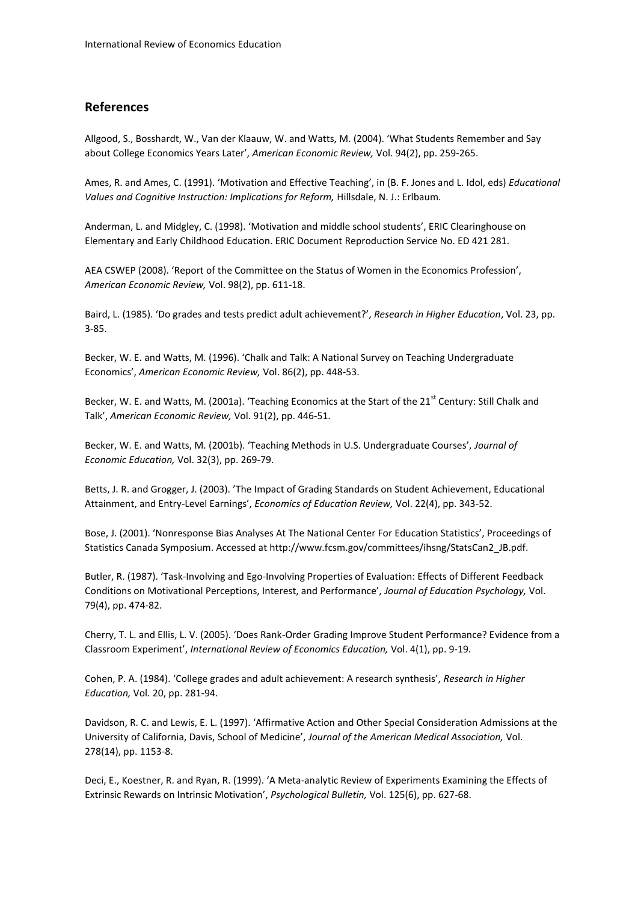#### **References**

Allgood, S., Bosshardt, W., Van der Klaauw, W. and Watts, M. (2004). 'What Students Remember and Say about College Economics Years Later', *American Economic Review,* Vol. 94(2), pp. 259-265.

Ames, R. and Ames, C. (1991). 'Motivation and Effective Teaching', in (B. F. Jones and L. Idol, eds) *Educational Values and Cognitive Instruction: Implications for Reform,* Hillsdale, N. J.: Erlbaum.

Anderman, L. and Midgley, C. (1998). 'Motivation and middle school students', ERIC Clearinghouse on Elementary and Early Childhood Education. ERIC Document Reproduction Service No. ED 421 281.

AEA CSWEP (2008). 'Report of the Committee on the Status of Women in the Economics Profession', *American Economic Review,* Vol. 98(2), pp. 611-18.

Baird, L. (1985). 'Do grades and tests predict adult achievement?', *Research in Higher Education*, Vol. 23, pp. 3-85.

Becker, W. E. and Watts, M. (1996). 'Chalk and Talk: A National Survey on Teaching Undergraduate Economics', *American Economic Review,* Vol. 86(2), pp. 448-53.

Becker, W. E. and Watts, M. (2001a). 'Teaching Economics at the Start of the 21<sup>st</sup> Century: Still Chalk and Talk', *American Economic Review,* Vol. 91(2), pp. 446-51.

Becker, W. E. and Watts, M. (2001b). 'Teaching Methods in U.S. Undergraduate Courses', *Journal of Economic Education,* Vol. 32(3), pp. 269-79.

Betts, J. R. and Grogger, J. (2003). 'The Impact of Grading Standards on Student Achievement, Educational Attainment, and Entry-Level Earnings', *Economics of Education Review,* Vol. 22(4), pp. 343-52.

Bose, J. (2001). 'Nonresponse Bias Analyses At The National Center For Education Statistics', Proceedings of Statistics Canada Symposium. Accessed at http://www.fcsm.gov/committees/ihsng/StatsCan2\_JB.pdf.

Butler, R. (1987). 'Task-Involving and Ego-Involving Properties of Evaluation: Effects of Different Feedback Conditions on Motivational Perceptions, Interest, and Performance', *Journal of Education Psychology,* Vol. 79(4), pp. 474-82.

Cherry, T. L. and Ellis, L. V. (2005). 'Does Rank-Order Grading Improve Student Performance? Evidence from a Classroom Experiment', *International Review of Economics Education,* Vol. 4(1), pp. 9-19.

Cohen, P. A. (1984). 'College grades and adult achievement: A research synthesis', *Research in Higher Education,* Vol. 20, pp. 281-94.

Davidson, R. C. and Lewis, E. L. (1997). 'Affirmative Action and Other Special Consideration Admissions at the University of California, Davis, School of Medicine', *Journal of the American Medical Association,* Vol. 278(14), pp. 1153-8.

Deci, E., Koestner, R. and Ryan, R. (1999). 'A Meta-analytic Review of Experiments Examining the Effects of Extrinsic Rewards on Intrinsic Motivation', *Psychological Bulletin,* Vol. 125(6), pp. 627-68.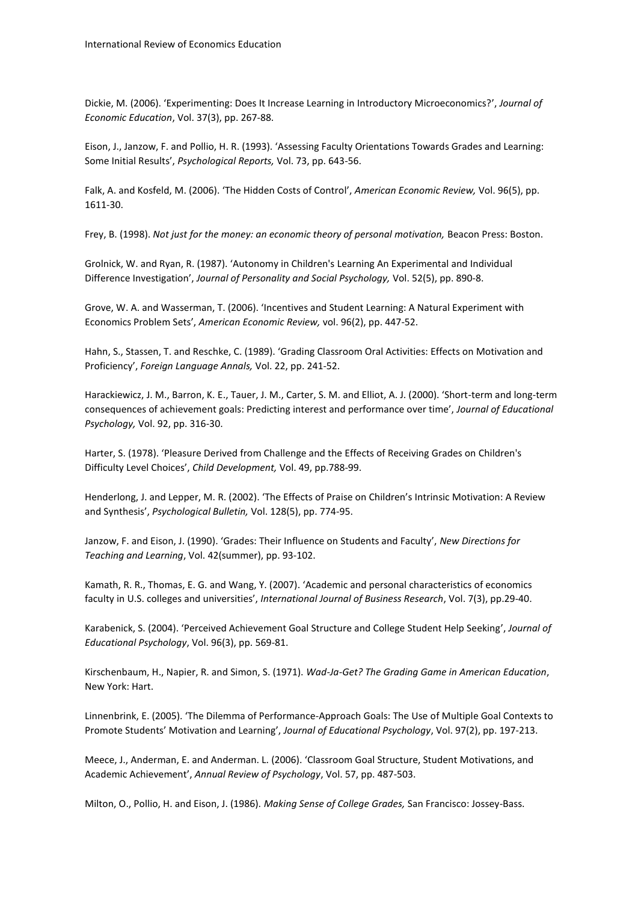Dickie, M. (2006). 'Experimenting: Does It Increase Learning in Introductory Microeconomics?', *Journal of Economic Education*, Vol. 37(3), pp. 267-88.

Eison, J., Janzow, F. and Pollio, H. R. (1993). 'Assessing Faculty Orientations Towards Grades and Learning: Some Initial Results', *Psychological Reports,* Vol. 73, pp. 643-56.

Falk, A. and Kosfeld, M. (2006). 'The Hidden Costs of Control', *American Economic Review,* Vol. 96(5), pp. 1611-30.

Frey, B. (1998). *Not just for the money: an economic theory of personal motivation,* Beacon Press: Boston.

Grolnick, W. and Ryan, R. (1987). 'Autonomy in Children's Learning An Experimental and Individual Difference Investigation', *Journal of Personality and Social Psychology,* Vol. 52(5), pp. 890-8.

Grove, W. A. and Wasserman, T. (2006). 'Incentives and Student Learning: A Natural Experiment with Economics Problem Sets', *American Economic Review,* vol. 96(2), pp. 447-52.

Hahn, S., Stassen, T. and Reschke, C. (1989). 'Grading Classroom Oral Activities: Effects on Motivation and Proficiency', *Foreign Language Annals,* Vol. 22, pp. 241-52.

Harackiewicz, J. M., Barron, K. E., Tauer, J. M., Carter, S. M. and Elliot, A. J. (2000). 'Short-term and long-term consequences of achievement goals: Predicting interest and performance over time', *Journal of Educational Psychology,* Vol. 92, pp. 316-30.

Harter, S. (1978). 'Pleasure Derived from Challenge and the Effects of Receiving Grades on Children's Difficulty Level Choices', *Child Development,* Vol. 49, pp.788-99.

Henderlong, J. and Lepper, M. R. (2002). 'The Effects of Praise on Children's Intrinsic Motivation: A Review and Synthesis', *Psychological Bulletin,* Vol. 128(5), pp. 774-95.

Janzow, F. and Eison, J. (1990). 'Grades: Their Influence on Students and Faculty', *New Directions for Teaching and Learning*, Vol. 42(summer), pp. 93-102.

Kamath, R. R., Thomas, E. G. and Wang, Y. (2007). 'Academic and personal characteristics of economics faculty in U.S. colleges and universities', *International Journal of Business Research*, Vol. 7(3), pp.29-40.

Karabenick, S. (2004). 'Perceived Achievement Goal Structure and College Student Help Seeking', *Journal of Educational Psychology*, Vol. 96(3), pp. 569-81.

Kirschenbaum, H., Napier, R. and Simon, S. (1971). *Wad-Ja-Get? The Grading Game in American Education*, New York: Hart.

Linnenbrink, E. (2005). 'The Dilemma of Performance-Approach Goals: The Use of Multiple Goal Contexts to Promote Students' Motivation and Learning', *Journal of Educational Psychology*, Vol. 97(2), pp. 197-213.

Meece, J., Anderman, E. and Anderman. L. (2006). 'Classroom Goal Structure, Student Motivations, and Academic Achievement', *Annual Review of Psychology*, Vol. 57, pp. 487-503.

Milton, O., Pollio, H. and Eison, J. (1986). *Making Sense of College Grades,* San Francisco: Jossey-Bass.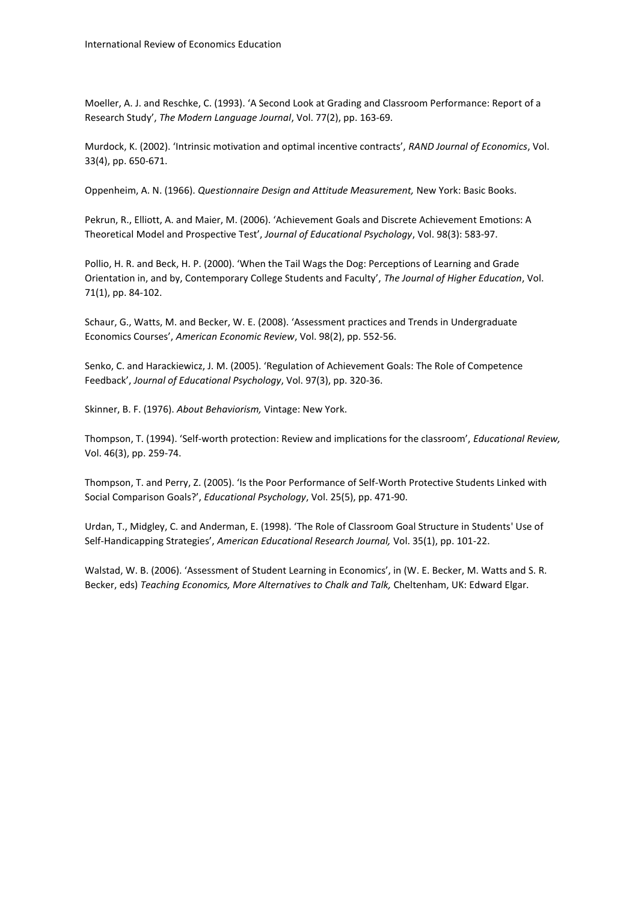Moeller, A. J. and Reschke, C. (1993). 'A Second Look at Grading and Classroom Performance: Report of a Research Study', *The Modern Language Journal*, Vol. 77(2), pp. 163-69.

Murdock, K. (2002). 'Intrinsic motivation and optimal incentive contracts', *RAND Journal of Economics*, Vol. 33(4), pp. 650-671.

Oppenheim, A. N. (1966). *Questionnaire Design and Attitude Measurement,* New York: Basic Books.

Pekrun, R., Elliott, A. and Maier, M. (2006). 'Achievement Goals and Discrete Achievement Emotions: A Theoretical Model and Prospective Test', *Journal of Educational Psychology*, Vol. 98(3): 583-97.

Pollio, H. R. and Beck, H. P. (2000). 'When the Tail Wags the Dog: Perceptions of Learning and Grade Orientation in, and by, Contemporary College Students and Faculty', *The Journal of Higher Education*, Vol. 71(1), pp. 84-102.

Schaur, G., Watts, M. and Becker, W. E. (2008). 'Assessment practices and Trends in Undergraduate Economics Courses', *American Economic Review*, Vol. 98(2), pp. 552-56.

Senko, C. and Harackiewicz, J. M. (2005). 'Regulation of Achievement Goals: The Role of Competence Feedback', *Journal of Educational Psychology*, Vol. 97(3), pp. 320-36.

Skinner, B. F. (1976). *About Behaviorism,* Vintage: New York.

Thompson, T. (1994). 'Self-worth protection: Review and implications for the classroom', *Educational Review,*  Vol. 46(3), pp. 259-74.

Thompson, T. and Perry, Z. (2005). 'Is the Poor Performance of Self-Worth Protective Students Linked with Social Comparison Goals?', *Educational Psychology*, Vol. 25(5), pp. 471-90.

Urdan, T., Midgley, C. and Anderman, E. (1998). 'The Role of Classroom Goal Structure in Students' Use of Self-Handicapping Strategies', *American Educational Research Journal,* Vol. 35(1), pp. 101-22.

Walstad, W. B. (2006). 'Assessment of Student Learning in Economics', in (W. E. Becker, M. Watts and S. R. Becker, eds) *Teaching Economics, More Alternatives to Chalk and Talk,* Cheltenham, UK: Edward Elgar.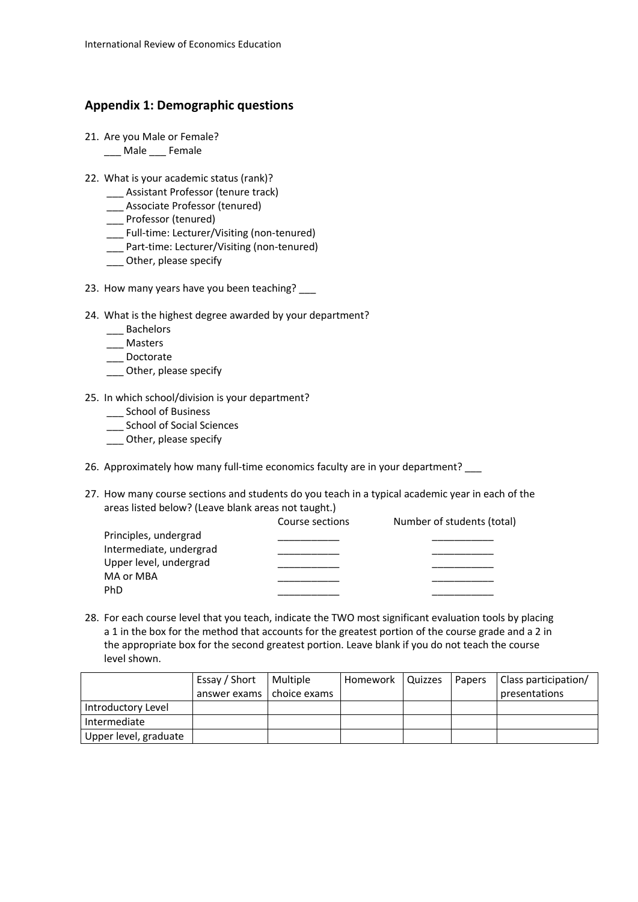### **Appendix 1: Demographic questions**

- 21. Are you Male or Female?
	- \_\_\_ Male \_\_\_ Female
- 22. What is your academic status (rank)?
	- \_\_\_ Assistant Professor (tenure track)
	- \_\_\_ Associate Professor (tenured)
	- \_\_\_ Professor (tenured)
	- \_\_\_ Full-time: Lecturer/Visiting (non-tenured)
	- \_\_\_ Part-time: Lecturer/Visiting (non-tenured)
	- \_\_\_ Other, please specify
- 23. How many years have you been teaching?
- 24. What is the highest degree awarded by your department?
	- \_\_\_ Bachelors
	- \_\_\_ Masters
	- \_\_\_ Doctorate
	- Other, please specify
- 25. In which school/division is your department?
	- \_\_\_ School of Business
	- \_\_\_ School of Social Sciences
	- \_\_\_ Other, please specify
- 26. Approximately how many full-time economics faculty are in your department? \_\_
- 27. How many course sections and students do you teach in a typical academic year in each of the areas listed below? (Leave blank areas not taught.)

|                         | Course sections | Number of students (total) |
|-------------------------|-----------------|----------------------------|
| Principles, undergrad   |                 |                            |
| Intermediate, undergrad |                 |                            |
| Upper level, undergrad  |                 |                            |
| MA or MBA               |                 |                            |
| PhD                     |                 |                            |

28. For each course level that you teach, indicate the TWO most significant evaluation tools by placing a 1 in the box for the method that accounts for the greatest portion of the course grade and a 2 in the appropriate box for the second greatest portion. Leave blank if you do not teach the course level shown.

|                       | Essay / Short   Multiple    | Homework   Quizzes   Papers |  | Class participation/ |
|-----------------------|-----------------------------|-----------------------------|--|----------------------|
|                       | answer exams   choice exams |                             |  | presentations        |
| Introductory Level    |                             |                             |  |                      |
| l Intermediate        |                             |                             |  |                      |
| Upper level, graduate |                             |                             |  |                      |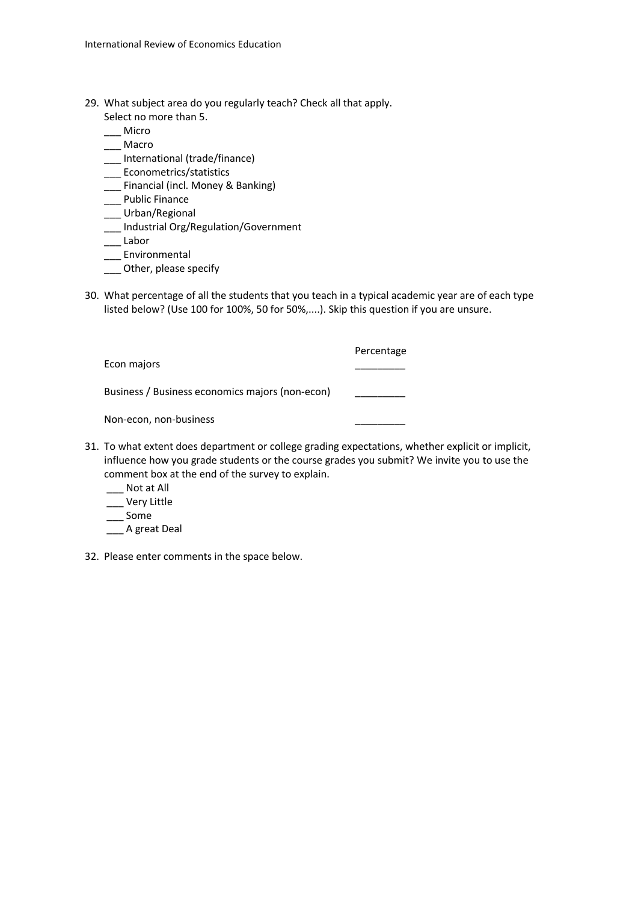- 29. What subject area do you regularly teach? Check all that apply. Select no more than 5.
	- \_\_\_ Micro
	- \_\_\_ Macro
	- \_\_\_ International (trade/finance)
	- \_\_\_ Econometrics/statistics
	- \_\_\_ Financial (incl. Money & Banking)
	- \_\_\_ Public Finance
	- \_\_\_ Urban/Regional
	- \_\_\_ Industrial Org/Regulation/Government
	- \_\_\_ Labor
	- \_\_\_ Environmental
	- \_\_\_ Other, please specify
- 30. What percentage of all the students that you teach in a typical academic year are of each type listed below? (Use 100 for 100%, 50 for 50%,....). Skip this question if you are unsure.

|                                                 | Percentage |
|-------------------------------------------------|------------|
| Econ majors                                     |            |
| Business / Business economics majors (non-econ) |            |
| Non-econ, non-business                          |            |

- 31. To what extent does department or college grading expectations, whether explicit or implicit, influence how you grade students or the course grades you submit? We invite you to use the comment box at the end of the survey to explain.
	- \_\_\_ Not at All
	- \_\_\_ Very Little
	- \_\_\_ Some
	- \_\_\_ A great Deal
- 32. Please enter comments in the space below.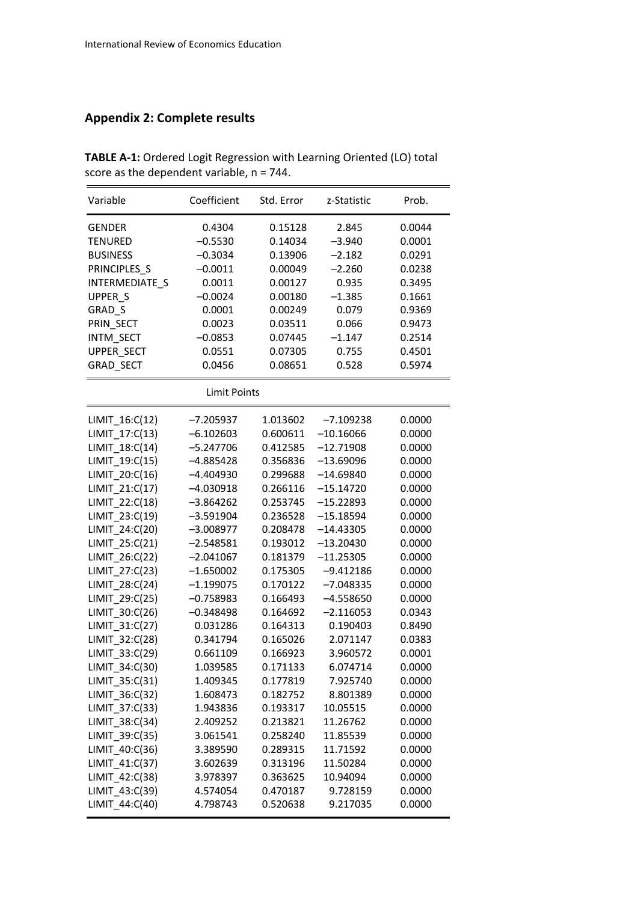# **Appendix 2: Complete results**

**TABLE A-1:** Ordered Logit Regression with Learning Oriented (LO) total score as the dependent variable,  $n = 744$ .

| Variable        | Coefficient  | Std. Error | z-Statistic | Prob.  |
|-----------------|--------------|------------|-------------|--------|
| <b>GENDER</b>   | 0.4304       | 0.15128    | 2.845       | 0.0044 |
| <b>TENURED</b>  | $-0.5530$    | 0.14034    | $-3.940$    | 0.0001 |
| <b>BUSINESS</b> | $-0.3034$    | 0.13906    | $-2.182$    | 0.0291 |
| PRINCIPLES_S    | $-0.0011$    | 0.00049    | $-2.260$    | 0.0238 |
| INTERMEDIATE_S  | 0.0011       | 0.00127    | 0.935       | 0.3495 |
| <b>UPPER S</b>  | $-0.0024$    | 0.00180    | $-1.385$    | 0.1661 |
| GRAD S          | 0.0001       | 0.00249    | 0.079       | 0.9369 |
| PRIN_SECT       | 0.0023       | 0.03511    | 0.066       | 0.9473 |
| INTM SECT       | $-0.0853$    | 0.07445    | $-1.147$    | 0.2514 |
| UPPER_SECT      | 0.0551       | 0.07305    | 0.755       | 0.4501 |
| GRAD_SECT       | 0.0456       | 0.08651    | 0.528       | 0.5974 |
|                 | Limit Points |            |             |        |
| LIMIT_16:C(12)  | $-7.205937$  | 1.013602   | $-7.109238$ | 0.0000 |
| LIMIT_17:C(13)  | $-6.102603$  | 0.600611   | $-10.16066$ | 0.0000 |
| LIMIT_18:C(14)  | $-5.247706$  | 0.412585   | $-12.71908$ | 0.0000 |
| LIMIT 19:C(15)  | $-4.885428$  | 0.356836   | $-13.69096$ | 0.0000 |
| LIMIT_20:C(16)  | $-4.404930$  | 0.299688   | $-14.69840$ | 0.0000 |
| LIMIT 21:C(17)  | $-4.030918$  | 0.266116   | $-15.14720$ | 0.0000 |
| LIMIT_22:C(18)  | $-3.864262$  | 0.253745   | $-15.22893$ | 0.0000 |
| LIMIT_23:C(19)  | $-3.591904$  | 0.236528   | $-15.18594$ | 0.0000 |
| LIMIT_24:C(20)  | $-3.008977$  | 0.208478   | $-14.43305$ | 0.0000 |
| LIMIT_25:C(21)  | $-2.548581$  | 0.193012   | $-13.20430$ | 0.0000 |
| LIMIT 26:C(22)  | $-2.041067$  | 0.181379   | $-11.25305$ | 0.0000 |
| LIMIT 27:C(23)  | $-1.650002$  | 0.175305   | $-9.412186$ | 0.0000 |
| LIMIT 28:C(24)  | $-1.199075$  | 0.170122   | $-7.048335$ | 0.0000 |
| LIMIT_29:C(25)  | $-0.758983$  | 0.166493   | $-4.558650$ | 0.0000 |
| LIMIT_30:C(26)  | $-0.348498$  | 0.164692   | $-2.116053$ | 0.0343 |
| LIMIT 31:C(27)  | 0.031286     | 0.164313   | 0.190403    | 0.8490 |
| LIMIT_32:C(28)  | 0.341794     | 0.165026   | 2.071147    | 0.0383 |
| LIMIT_33:C(29)  | 0.661109     | 0.166923   | 3.960572    | 0.0001 |
| LIMIT_34:C(30)  | 1.039585     | 0.171133   | 6.074714    | 0.0000 |
| LIMIT 35:C(31)  | 1.409345     | 0.177819   | 7.925740    | 0.0000 |
| LIMIT_36:C(32)  | 1.608473     | 0.182752   | 8.801389    | 0.0000 |
| LIMIT_37:C(33)  | 1.943836     | 0.193317   | 10.05515    | 0.0000 |
| LIMIT_38:C(34)  | 2.409252     | 0.213821   | 11.26762    | 0.0000 |
| LIMIT_39:C(35)  | 3.061541     | 0.258240   | 11.85539    | 0.0000 |
| LIMIT 40:C(36)  | 3.389590     | 0.289315   | 11.71592    | 0.0000 |
| LIMIT_41:C(37)  | 3.602639     | 0.313196   | 11.50284    | 0.0000 |
| LIMIT 42:C(38)  | 3.978397     | 0.363625   | 10.94094    | 0.0000 |
| LIMIT_43:C(39)  | 4.574054     | 0.470187   | 9.728159    | 0.0000 |
| LIMIT_44:C(40)  | 4.798743     | 0.520638   | 9.217035    | 0.0000 |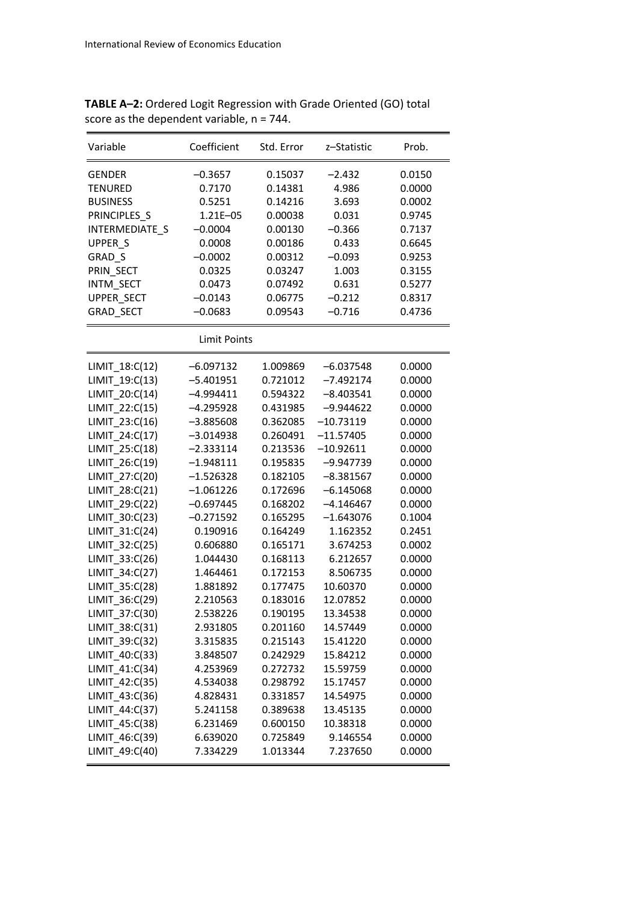| Variable         | Coefficient         | Std. Error | z-Statistic | Prob.  |
|------------------|---------------------|------------|-------------|--------|
| <b>GENDER</b>    | $-0.3657$           | 0.15037    | $-2.432$    | 0.0150 |
| <b>TENURED</b>   | 0.7170              | 0.14381    | 4.986       | 0.0000 |
| <b>BUSINESS</b>  | 0.5251              | 0.14216    | 3.693       | 0.0002 |
| PRINCIPLES S     | 1.21E-05            | 0.00038    | 0.031       | 0.9745 |
| INTERMEDIATE S   | $-0.0004$           | 0.00130    | $-0.366$    | 0.7137 |
| UPPER_S          | 0.0008              | 0.00186    | 0.433       | 0.6645 |
| GRAD S           | $-0.0002$           | 0.00312    | $-0.093$    | 0.9253 |
| PRIN SECT        | 0.0325              | 0.03247    | 1.003       | 0.3155 |
| INTM SECT        | 0.0473              | 0.07492    | 0.631       | 0.5277 |
| UPPER_SECT       | $-0.0143$           | 0.06775    | $-0.212$    | 0.8317 |
| GRAD_SECT        | $-0.0683$           | 0.09543    | $-0.716$    | 0.4736 |
|                  | <b>Limit Points</b> |            |             |        |
| $LIMIT_18:C(12)$ | $-6.097132$         | 1.009869   | $-6.037548$ | 0.0000 |
| LIMIT_19:C(13)   | $-5.401951$         | 0.721012   | $-7.492174$ | 0.0000 |
| LIMIT 20:C(14)   | $-4.994411$         | 0.594322   | $-8.403541$ | 0.0000 |
| LIMIT 22:C(15)   | $-4.295928$         | 0.431985   | $-9.944622$ | 0.0000 |
| LIMIT 23:C(16)   | $-3.885608$         | 0.362085   | $-10.73119$ | 0.0000 |
| LIMIT 24:C(17)   | $-3.014938$         | 0.260491   | $-11.57405$ | 0.0000 |
| LIMIT_25:C(18)   | $-2.333114$         | 0.213536   | $-10.92611$ | 0.0000 |
| LIMIT_26:C(19)   | $-1.948111$         | 0.195835   | $-9.947739$ | 0.0000 |
| LIMIT_27:C(20)   | $-1.526328$         | 0.182105   | $-8.381567$ | 0.0000 |
| LIMIT_28:C(21)   | $-1.061226$         | 0.172696   | $-6.145068$ | 0.0000 |
| LIMIT_29:C(22)   | $-0.697445$         | 0.168202   | $-4.146467$ | 0.0000 |
| LIMIT_30:C(23)   | $-0.271592$         | 0.165295   | $-1.643076$ | 0.1004 |
| LIMIT_31:C(24)   | 0.190916            | 0.164249   | 1.162352    | 0.2451 |
| LIMIT_32:C(25)   | 0.606880            | 0.165171   | 3.674253    | 0.0002 |
| LIMIT_33:C(26)   | 1.044430            | 0.168113   | 6.212657    | 0.0000 |
| LIMIT_34:C(27)   | 1.464461            | 0.172153   | 8.506735    | 0.0000 |
| LIMIT_35:C(28)   | 1.881892            | 0.177475   | 10.60370    | 0.0000 |
| LIMIT_36:C(29)   | 2.210563            | 0.183016   | 12.07852    | 0.0000 |
| LIMIT 37:C(30)   | 2.538226            | 0.190195   | 13.34538    | 0.0000 |
| LIMIT 38:C(31)   | 2.931805            | 0.201160   | 14.57449    | 0.0000 |
| LIMIT 39:C(32)   | 3.315835            | 0.215143   | 15.41220    | 0.0000 |
| LIMIT_40:C(33)   | 3.848507            | 0.242929   | 15.84212    | 0.0000 |
| LIMIT_41:C(34)   | 4.253969            | 0.272732   | 15.59759    | 0.0000 |
| LIMIT_42:C(35)   | 4.534038            | 0.298792   | 15.17457    | 0.0000 |
| LIMIT_43:C(36)   | 4.828431            | 0.331857   | 14.54975    | 0.0000 |
| LIMIT_44:C(37)   | 5.241158            | 0.389638   | 13.45135    | 0.0000 |
| LIMIT 45:C(38)   | 6.231469            | 0.600150   | 10.38318    | 0.0000 |
| LIMIT_46:C(39)   | 6.639020            | 0.725849   | 9.146554    | 0.0000 |
| LIMIT_49:C(40)   | 7.334229            | 1.013344   | 7.237650    | 0.0000 |

**TABLE A–2:** Ordered Logit Regression with Grade Oriented (GO) total score as the dependent variable,  $n = 744$ .